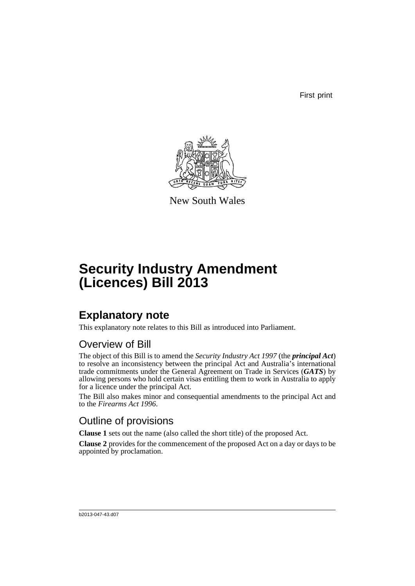First print



New South Wales

# **Security Industry Amendment (Licences) Bill 2013**

## **Explanatory note**

This explanatory note relates to this Bill as introduced into Parliament.

### Overview of Bill

The object of this Bill is to amend the *Security Industry Act 1997* (the *principal Act*) to resolve an inconsistency between the principal Act and Australia's international trade commitments under the General Agreement on Trade in Services (*GATS*) by allowing persons who hold certain visas entitling them to work in Australia to apply for a licence under the principal Act.

The Bill also makes minor and consequential amendments to the principal Act and to the *Firearms Act 1996*.

### Outline of provisions

**Clause 1** sets out the name (also called the short title) of the proposed Act.

**Clause 2** provides for the commencement of the proposed Act on a day or days to be appointed by proclamation.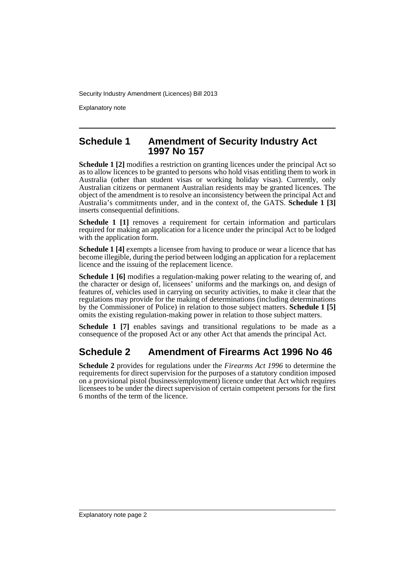Explanatory note

#### **Schedule 1 Amendment of Security Industry Act 1997 No 157**

**Schedule 1 [2]** modifies a restriction on granting licences under the principal Act so as to allow licences to be granted to persons who hold visas entitling them to work in Australia (other than student visas or working holiday visas). Currently, only Australian citizens or permanent Australian residents may be granted licences. The object of the amendment is to resolve an inconsistency between the principal Act and Australia's commitments under, and in the context of, the GATS. **Schedule 1 [3]** inserts consequential definitions.

**Schedule 1** [1] removes a requirement for certain information and particulars required for making an application for a licence under the principal Act to be lodged with the application form.

**Schedule 1 [4]** exempts a licensee from having to produce or wear a licence that has become illegible, during the period between lodging an application for a replacement licence and the issuing of the replacement licence.

**Schedule 1 [6]** modifies a regulation-making power relating to the wearing of, and the character or design of, licensees' uniforms and the markings on, and design of features of, vehicles used in carrying on security activities, to make it clear that the regulations may provide for the making of determinations (including determinations by the Commissioner of Police) in relation to those subject matters. **Schedule 1 [5]** omits the existing regulation-making power in relation to those subject matters.

**Schedule 1 [7]** enables savings and transitional regulations to be made as a consequence of the proposed Act or any other Act that amends the principal Act.

### **Schedule 2 Amendment of Firearms Act 1996 No 46**

**Schedule 2** provides for regulations under the *Firearms Act 1996* to determine the requirements for direct supervision for the purposes of a statutory condition imposed on a provisional pistol (business/employment) licence under that Act which requires licensees to be under the direct supervision of certain competent persons for the first 6 months of the term of the licence.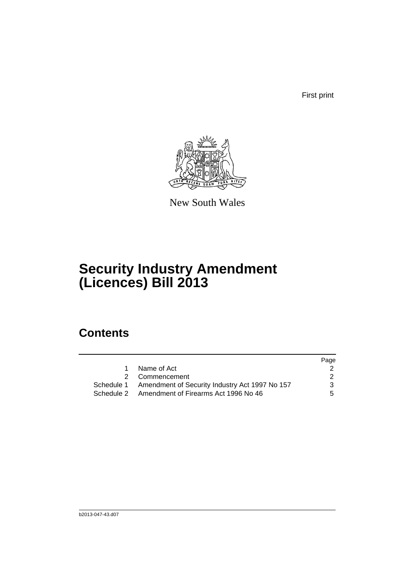First print



New South Wales

# **Security Industry Amendment (Licences) Bill 2013**

## **Contents**

|                                                           | Page          |
|-----------------------------------------------------------|---------------|
| Name of Act<br>1                                          |               |
| 2 Commencement                                            | $\mathcal{P}$ |
| Schedule 1 Amendment of Security Industry Act 1997 No 157 | 3             |
| Schedule 2 Amendment of Firearms Act 1996 No 46           | 5.            |
|                                                           |               |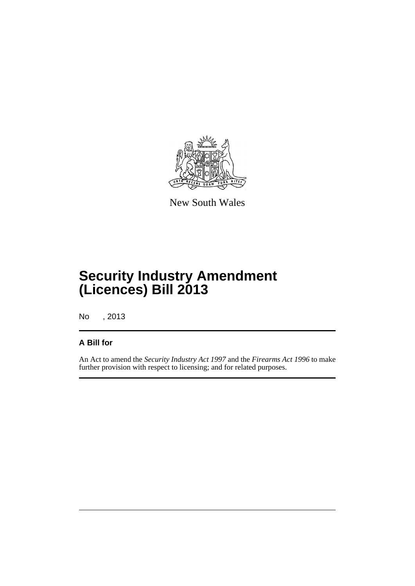

New South Wales

# **Security Industry Amendment (Licences) Bill 2013**

No , 2013

#### **A Bill for**

An Act to amend the *Security Industry Act 1997* and the *Firearms Act 1996* to make further provision with respect to licensing; and for related purposes.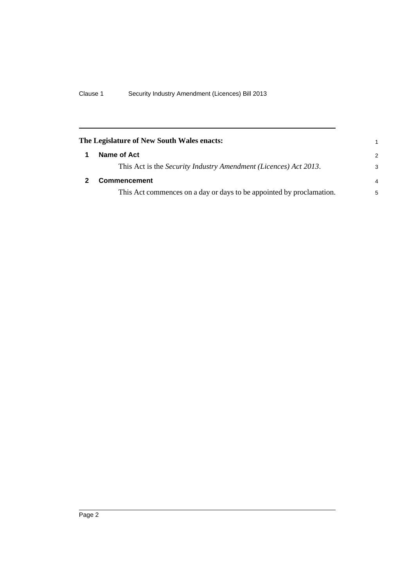<span id="page-5-1"></span><span id="page-5-0"></span>

| The Legislature of New South Wales enacts:                           | 1 |
|----------------------------------------------------------------------|---|
| Name of Act                                                          | 2 |
| This Act is the Security Industry Amendment (Licences) Act 2013.     | 3 |
| <b>Commencement</b>                                                  | 4 |
| This Act commences on a day or days to be appointed by proclamation. | 5 |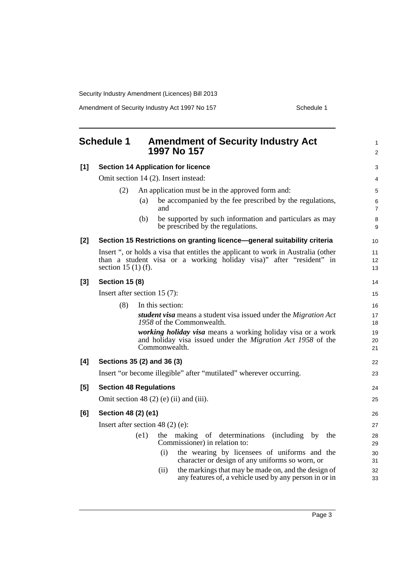Amendment of Security Industry Act 1997 No 157 Schedule 1

<span id="page-6-0"></span>

|       | <b>Schedule 1</b><br><b>Amendment of Security Industry Act</b><br>1997 No 157                                                                                                        | $\mathbf{1}$<br>2   |
|-------|--------------------------------------------------------------------------------------------------------------------------------------------------------------------------------------|---------------------|
| $[1]$ | <b>Section 14 Application for licence</b>                                                                                                                                            | 3                   |
|       | Omit section 14 (2). Insert instead:                                                                                                                                                 | 4                   |
|       | (2)<br>An application must be in the approved form and:                                                                                                                              | 5                   |
|       | be accompanied by the fee prescribed by the regulations,<br>(a)<br>and                                                                                                               | 6<br>$\overline{7}$ |
|       | be supported by such information and particulars as may<br>(b)<br>be prescribed by the regulations.                                                                                  | 8<br>9              |
| $[2]$ | Section 15 Restrictions on granting licence—general suitability criteria                                                                                                             | 10                  |
|       | Insert ", or holds a visa that entitles the applicant to work in Australia (other<br>than a student visa or a working holiday visa)" after "resident" in<br>section 15 $(1)$ $(f)$ . | 11<br>12<br>13      |
| $[3]$ | <b>Section 15 (8)</b>                                                                                                                                                                | 14                  |
|       | Insert after section $15(7)$ :                                                                                                                                                       | 15                  |
|       | (8)<br>In this section:                                                                                                                                                              | 16                  |
|       | student visa means a student visa issued under the Migration Act<br>1958 of the Commonwealth.                                                                                        | 17<br>18            |
|       | working holiday visa means a working holiday visa or a work<br>and holiday visa issued under the <i>Migration Act 1958</i> of the<br>Commonwealth.                                   | 19<br>20<br>21      |
| [4]   | Sections 35 (2) and 36 (3)                                                                                                                                                           | 22                  |
|       | Insert "or become illegible" after "mutilated" wherever occurring.                                                                                                                   | 23                  |
| [5]   | <b>Section 48 Regulations</b>                                                                                                                                                        | 24                  |
|       | Omit section 48 $(2)$ $(e)$ $(ii)$ and $(iii)$ .                                                                                                                                     | 25                  |
| [6]   | Section 48 (2) (e1)                                                                                                                                                                  | 26                  |
|       | Insert after section 48 $(2)$ $(e)$ :                                                                                                                                                | 27                  |
|       | (e1)<br>the making of determinations<br>(including by<br>the<br>Commissioner) in relation to:                                                                                        | 28<br>29            |
|       | the wearing by licensees of uniforms and the<br>(i)<br>character or design of any uniforms so worn, or                                                                               | 30<br>31            |
|       | the markings that may be made on, and the design of<br>(ii)<br>any features of, a vehicle used by any person in or in                                                                | 32<br>33            |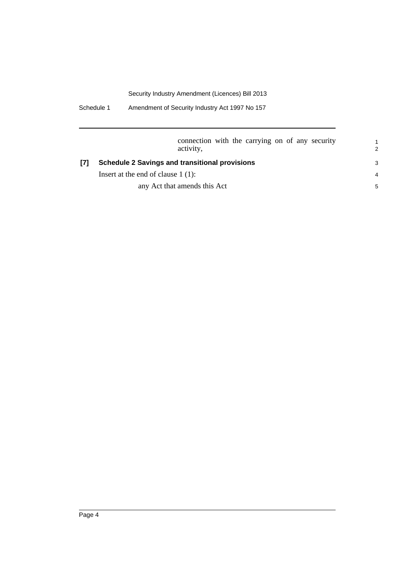Schedule 1 Amendment of Security Industry Act 1997 No 157

|  | connection with the carrying on of any security<br>activity, | $\overline{2}$ |
|--|--------------------------------------------------------------|----------------|
|  | <b>Schedule 2 Savings and transitional provisions</b>        |                |
|  | Insert at the end of clause $1(1)$ :                         | $\overline{4}$ |
|  | any Act that amends this Act                                 | 5              |